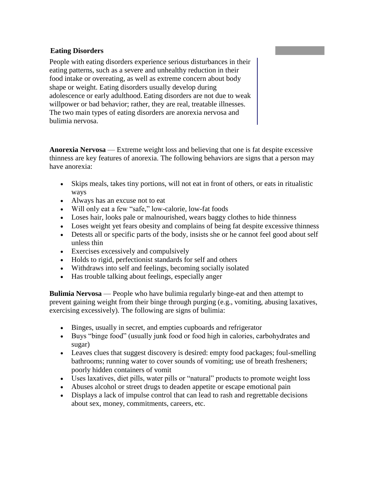#### **Eating Disorders**

People with eating disorders experience serious disturbances in their eating patterns, such as a severe and unhealthy reduction in their food intake or overeating, as well as extreme concern about body shape or weight. Eating disorders usually develop during adolescence or early adulthood. Eating disorders are not due to weak willpower or bad behavior; rather, they are real, treatable illnesses. The two main types of eating disorders are anorexia nervosa and bulimia nervosa.

**Anorexia Nervosa** — Extreme weight loss and believing that one is fat despite excessive thinness are key features of anorexia. The following behaviors are signs that a person may have anorexia:

- Skips meals, takes tiny portions, will not eat in front of others, or eats in ritualistic ways
- Always has an excuse not to eat
- Will only eat a few "safe," low-calorie, low-fat foods
- Loses hair, looks pale or malnourished, wears baggy clothes to hide thinness
- Loses weight yet fears obesity and complains of being fat despite excessive thinness
- Detests all or specific parts of the body, insists she or he cannot feel good about self unless thin
- Exercises excessively and compulsively
- Holds to rigid, perfectionist standards for self and others
- Withdraws into self and feelings, becoming socially isolated
- Has trouble talking about feelings, especially anger

**Bulimia Nervosa** — People who have bulimia regularly binge-eat and then attempt to prevent gaining weight from their binge through purging (e.g., vomiting, abusing laxatives, exercising excessively). The following are signs of bulimia:

- Binges, usually in secret, and empties cupboards and refrigerator
- Buys "binge food" (usually junk food or food high in calories, carbohydrates and sugar)
- Leaves clues that suggest discovery is desired: empty food packages; foul-smelling bathrooms; running water to cover sounds of vomiting; use of breath fresheners; poorly hidden containers of vomit
- Uses laxatives, diet pills, water pills or "natural" products to promote weight loss
- Abuses alcohol or street drugs to deaden appetite or escape emotional pain
- Displays a lack of impulse control that can lead to rash and regrettable decisions about sex, money, commitments, careers, etc.